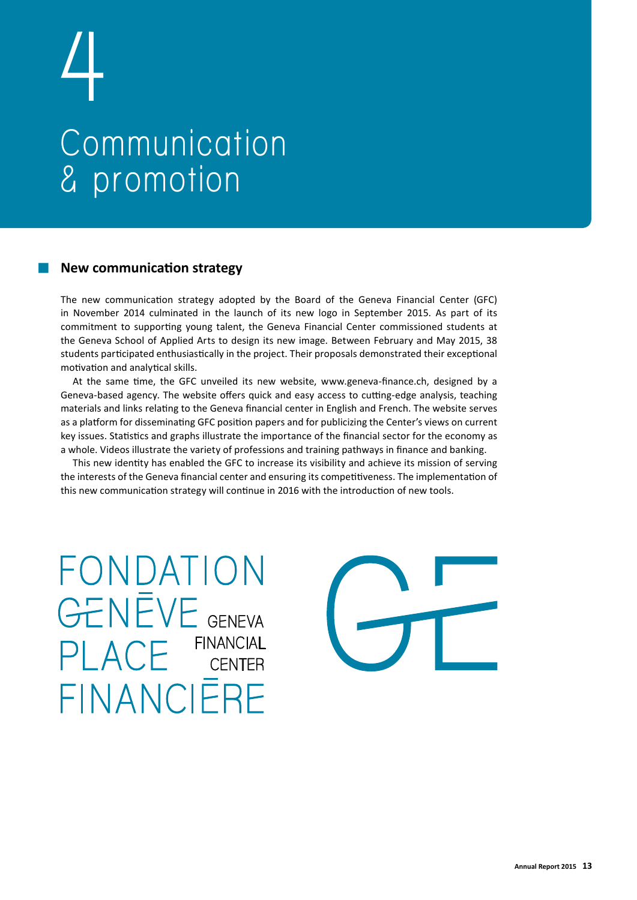# **4 Communication & promotion**

## **New communication strategy**

The new communication strategy adopted by the Board of the Geneva Financial Center (GFC) in November 2014 culminated in the launch of its new logo in September 2015. As part of its commitment to supporting young talent, the Geneva Financial Center commissioned students at the Geneva School of Applied Arts to design its new image. Between February and May 2015, 38 students participated enthusiastically in the project. Their proposals demonstrated their exceptional motivation and analytical skills.

At the same time, the GFC unveiled its new website, www.geneva-finance.ch, designed by a Geneva-based agency. The website offers quick and easy access to cutting-edge analysis, teaching materials and links relating to the Geneva financial center in English and French. The website serves as a platform for disseminating GFC position papers and for publicizing the Center's views on current key issues. Statistics and graphs illustrate the importance of the financial sector for the economy as a whole. Videos illustrate the variety of professions and training pathways in finance and banking.

This new identity has enabled the GFC to increase its visibility and achieve its mission of serving the interests of the Geneva financial center and ensuring its competitiveness. The implementation of this new communication strategy will continue in 2016 with the introduction of new tools.

FONDATION **GENEVE** GENEVA **FINANCIAL**  $A \cap$ **CENTER** FINANCIERE

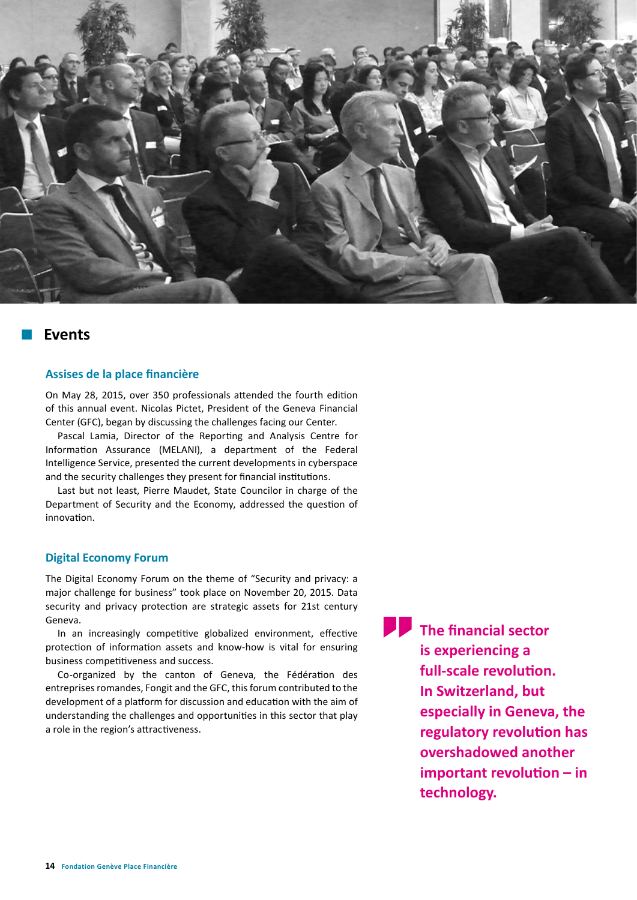

# **Events**

### **Assises de la place financière**

On May 28, 2015, over 350 professionals attended the fourth edition of this annual event. Nicolas Pictet, President of the Geneva Financial Center (GFC), began by discussing the challenges facing our Center.

Pascal Lamia, Director of the Reporting and Analysis Centre for Information Assurance (MELANI), a department of the Federal Intelligence Service, presented the current developments in cyberspace and the security challenges they present for financial institutions.

Last but not least, Pierre Maudet, State Councilor in charge of the Department of Security and the Economy, addressed the question of innovation.

### **Digital Economy Forum**

The Digital Economy Forum on the theme of "Security and privacy: a major challenge for business" took place on November 20, 2015. Data security and privacy protection are strategic assets for 21st century Geneva.

In an increasingly competitive globalized environment, effective protection of information assets and know-how is vital for ensuring business competitiveness and success.

Co-organized by the canton of Geneva, the Fédération des entreprises romandes, Fongit and the GFC, this forum contributed to the development of a platform for discussion and education with the aim of understanding the challenges and opportunities in this sector that play a role in the region's attractiveness.

 **The financial sector is experiencing a full-scale revolution. In Switzerland, but especially in Geneva, the regulatory revolution has overshadowed another important revolution – in technology.**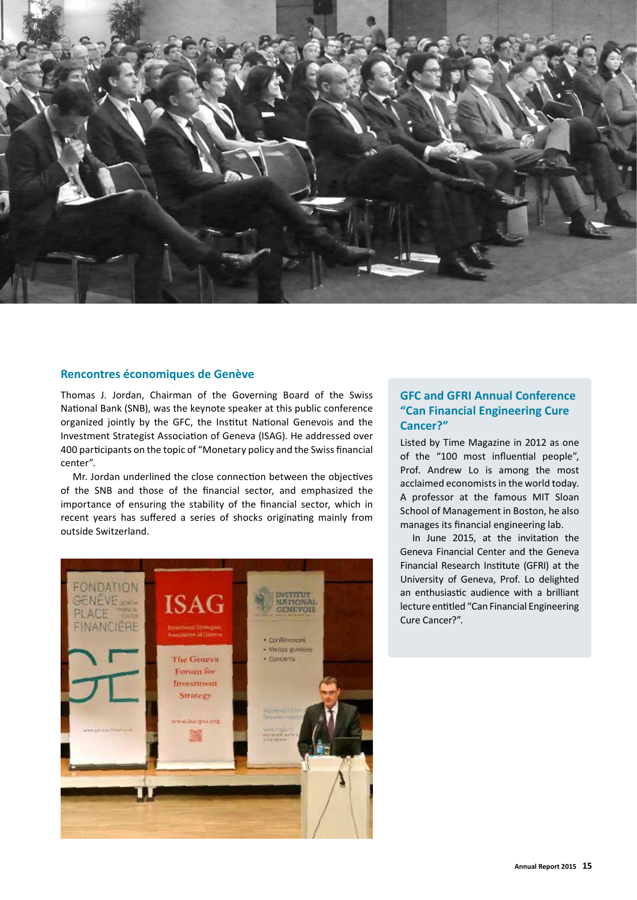

### **Rencontres économiques de Genève**

Thomas J. Jordan, Chairman of the Governing Board of the Swiss National Bank (SNB), was the keynote speaker at this public conference organized jointly by the GFC, the Institut National Genevois and the Investment Strategist Association of Geneva (ISAG). He addressed over 400 participants on the topic of "Monetary policy and the Swiss financial center".

Mr. Jordan underlined the close connection between the objectives of the SNB and those of the financial sector, and emphasized the importance of ensuring the stability of the financial sector, which in recent years has suffered a series of shocks originating mainly from outside Switzerland.



## **GFC and GFRI Annual Conference "Can Financial Engineering Cure Cancer?"**

Listed by Time Magazine in 2012 as one of the "100 most influential people", Prof. Andrew Lo is among the most acclaimed economists in the world today. A professor at the famous MIT Sloan School of Management in Boston, he also manages its financial engineering lab.

In June 2015, at the invitation the Geneva Financial Center and the Geneva Financial Research Institute (GFRI) at the University of Geneva, Prof. Lo delighted an enthusiastic audience with a brilliant lecture entitled "Can Financial Engineering Cure Cancer?".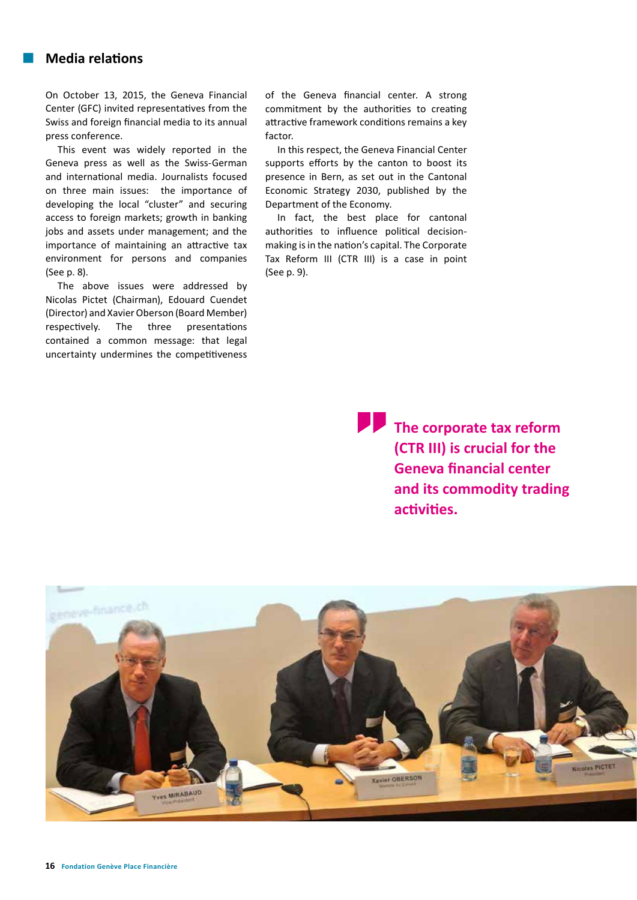# **Media relations**

On October 13, 2015, the Geneva Financial Center (GFC) invited representatives from the Swiss and foreign financial media to its annual press conference.

This event was widely reported in the Geneva press as well as the Swiss-German and international media. Journalists focused on three main issues: the importance of developing the local "cluster" and securing access to foreign markets; growth in banking jobs and assets under management; and the importance of maintaining an attractive tax environment for persons and companies (See p. 8).

The above issues were addressed by Nicolas Pictet (Chairman), Edouard Cuendet (Director) and Xavier Oberson (Board Member) respectively. The three presentations contained a common message: that legal uncertainty undermines the competitiveness

of the Geneva financial center. A strong commitment by the authorities to creating attractive framework conditions remains a key factor.

In this respect, the Geneva Financial Center supports efforts by the canton to boost its presence in Bern, as set out in the Cantonal Economic Strategy 2030, published by the Department of the Economy.

In fact, the best place for cantonal authorities to influence political decisionmaking is in the nation's capital. The Corporate Tax Reform III (CTR III) is a case in point (See p. 9).

> **The corporate tax reform (CTR III) is crucial for the Geneva financial center and its commodity trading activities.**